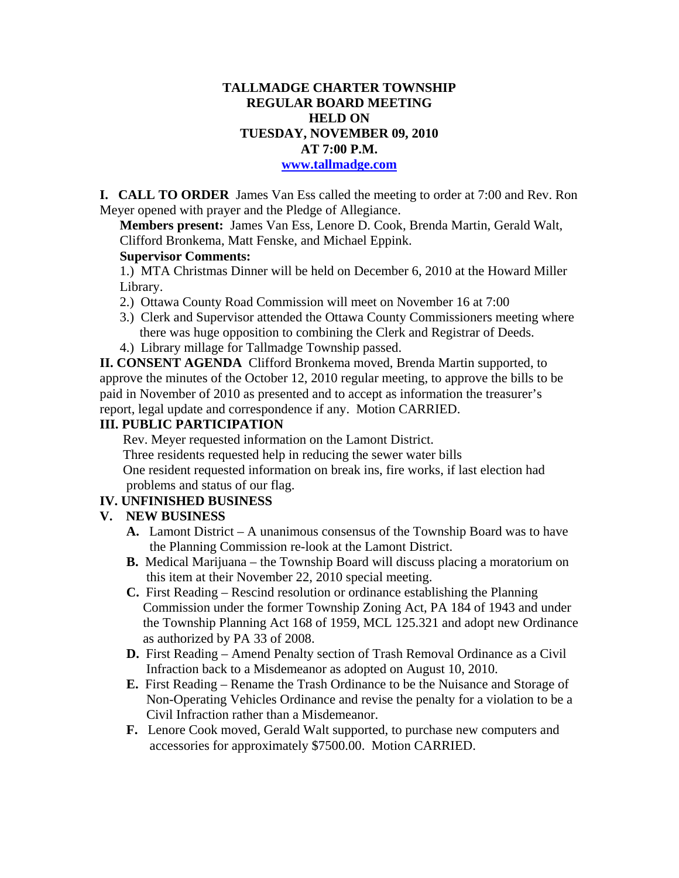# **TALLMADGE CHARTER TOWNSHIP REGULAR BOARD MEETING HELD ON TUESDAY, NOVEMBER 09, 2010 AT 7:00 P.M.**

#### **www.tallmadge.com**

**I. CALL TO ORDER** James Van Ess called the meeting to order at 7:00 and Rev. Ron Meyer opened with prayer and the Pledge of Allegiance.

**Members present:** James Van Ess, Lenore D. Cook, Brenda Martin, Gerald Walt, Clifford Bronkema, Matt Fenske, and Michael Eppink.

### **Supervisor Comments:**

1.) MTA Christmas Dinner will be held on December 6, 2010 at the Howard Miller Library.

- 2.) Ottawa County Road Commission will meet on November 16 at 7:00
- 3.) Clerk and Supervisor attended the Ottawa County Commissioners meeting where there was huge opposition to combining the Clerk and Registrar of Deeds.
- 4.) Library millage for Tallmadge Township passed.

**II. CONSENT AGENDA** Clifford Bronkema moved, Brenda Martin supported, to approve the minutes of the October 12, 2010 regular meeting, to approve the bills to be paid in November of 2010 as presented and to accept as information the treasurer's report, legal update and correspondence if any. Motion CARRIED.

#### **III. PUBLIC PARTICIPATION**

Rev. Meyer requested information on the Lamont District. Three residents requested help in reducing the sewer water bills One resident requested information on break ins, fire works, if last election had problems and status of our flag.

#### **IV. UNFINISHED BUSINESS**

#### **V. NEW BUSINESS**

- **A.** Lamont District A unanimous consensus of the Township Board was to have the Planning Commission re-look at the Lamont District.
- **B.** Medical Marijuana the Township Board will discuss placing a moratorium on this item at their November 22, 2010 special meeting.
- **C.** First Reading Rescind resolution or ordinance establishing the Planning Commission under the former Township Zoning Act, PA 184 of 1943 and under the Township Planning Act 168 of 1959, MCL 125.321 and adopt new Ordinance as authorized by PA 33 of 2008.
- **D.** First Reading Amend Penalty section of Trash Removal Ordinance as a Civil Infraction back to a Misdemeanor as adopted on August 10, 2010.
- **E.** First Reading Rename the Trash Ordinance to be the Nuisance and Storage of Non-Operating Vehicles Ordinance and revise the penalty for a violation to be a Civil Infraction rather than a Misdemeanor.
- **F.** Lenore Cook moved, Gerald Walt supported, to purchase new computers and accessories for approximately \$7500.00. Motion CARRIED.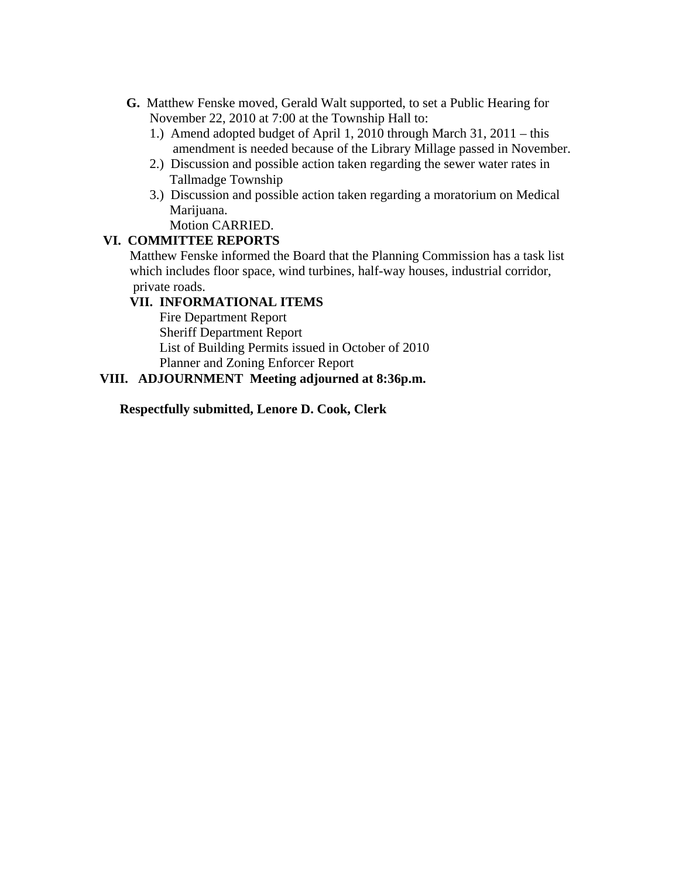- **G.** Matthew Fenske moved, Gerald Walt supported, to set a Public Hearing for November 22, 2010 at 7:00 at the Township Hall to:
	- 1.) Amend adopted budget of April 1, 2010 through March 31, 2011 this amendment is needed because of the Library Millage passed in November.
	- 2.) Discussion and possible action taken regarding the sewer water rates in Tallmadge Township
	- 3.) Discussion and possible action taken regarding a moratorium on Medical Marijuana.

Motion CARRIED.

# **VI. COMMITTEE REPORTS**

 Matthew Fenske informed the Board that the Planning Commission has a task list which includes floor space, wind turbines, half-way houses, industrial corridor, private roads.

## **VII. INFORMATIONAL ITEMS**

Fire Department Report Sheriff Department Report List of Building Permits issued in October of 2010 Planner and Zoning Enforcer Report

## **VIII. ADJOURNMENT Meeting adjourned at 8:36p.m.**

**Respectfully submitted, Lenore D. Cook, Clerk**